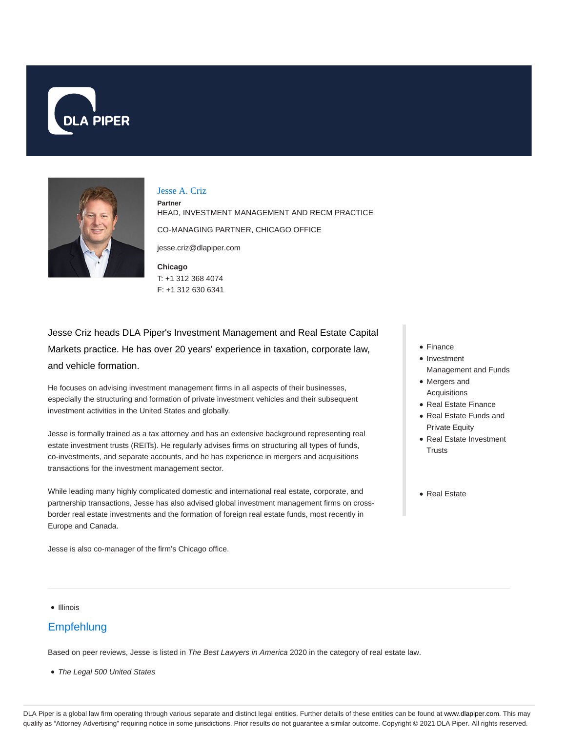



#### Jesse A. Criz

**Partner** HEAD, INVESTMENT MANAGEMENT AND RECM PRACTICE CO-MANAGING PARTNER, CHICAGO OFFICE

jesse.criz@dlapiper.com

**Chicago** T: +1 312 368 4074 F: +1 312 630 6341

Jesse Criz heads DLA Piper's Investment Management and Real Estate Capital Markets practice. He has over 20 years' experience in taxation, corporate law, and vehicle formation.

He focuses on advising investment management firms in all aspects of their businesses, especially the structuring and formation of private investment vehicles and their subsequent investment activities in the United States and globally.

Jesse is formally trained as a tax attorney and has an extensive background representing real estate investment trusts (REITs). He regularly advises firms on structuring all types of funds, co-investments, and separate accounts, and he has experience in mergers and acquisitions transactions for the investment management sector.

While leading many highly complicated domestic and international real estate, corporate, and partnership transactions, Jesse has also advised global investment management firms on crossborder real estate investments and the formation of foreign real estate funds, most recently in Europe and Canada.

Jesse is also co-manager of the firm's Chicago office.

- Finance
- Investment Management and Funds
- Mergers and Acquisitions
- Real Estate Finance
- Real Estate Funds and Private Equity
- Real Estate Investment **Trusts**
- Real Estate

• Illinois

# **Empfehlung**

Based on peer reviews, Jesse is listed in The Best Lawyers in America 2020 in the category of real estate law.

• The Legal 500 United States

DLA Piper is a global law firm operating through various separate and distinct legal entities. Further details of these entities can be found at www.dlapiper.com. This may qualify as "Attorney Advertising" requiring notice in some jurisdictions. Prior results do not guarantee a similar outcome. Copyright @ 2021 DLA Piper. All rights reserved.